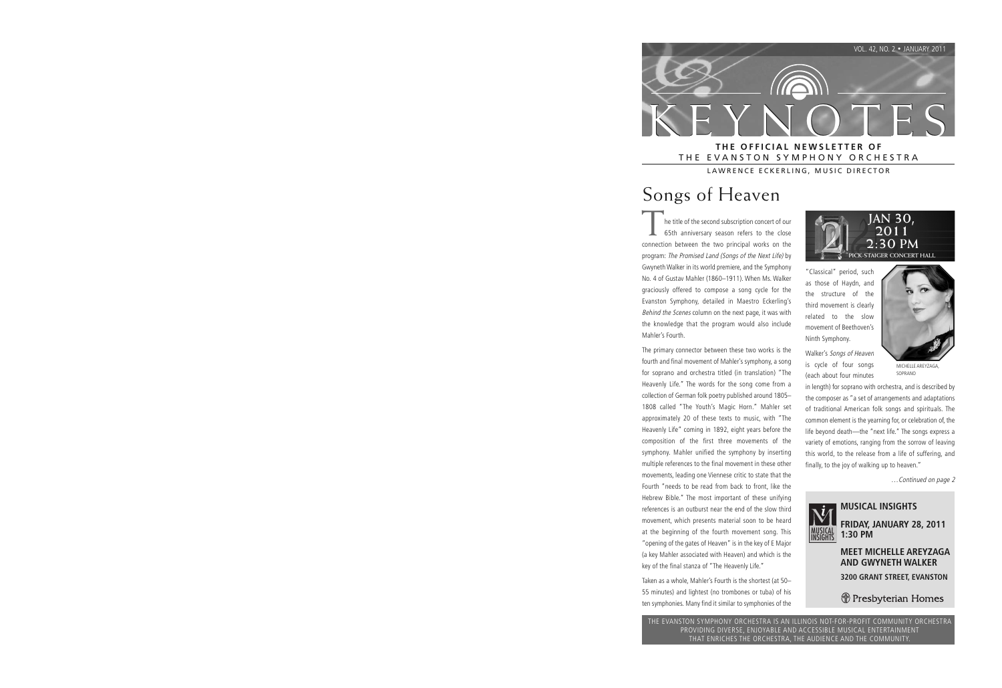

THE EVANSTON SYMPHONY ORCHESTRA

LAWRENCE ECKERLING, MUSIC DIRECTOR

# Songs of Heaven

he title of the second subscription concert of our 65th anniversary season refers to the close connection between the two principal works on the program: The Promised Land (Songs of the Next Life) by Gwyneth Walker in its world premiere, and the Symphony No. 4 of Gustav Mahler (1860–1911). When Ms. Walker graciously offered to compose a song cycle for the Evanston Symphony, detailed in Maestro Eckerling's Behind the Scenes column on the next page, it was with the knowledge that the program would also include Mahler's Fourth.

The primary connector between these two works is the fourth and final movement of Mahler's symphony, a song for soprano and orchestra titled (in translation) "The Heavenly Life." The words for the song come from a collection of German folk poetry published around 1805– 1808 called "The Youth's Magic Horn." Mahler set approximately 20 of these texts to music, with "The Heavenly Life" coming in 1892, eight years before the composition of the first three movements of the symphony. Mahler unified the symphony by inserting multiple references to the final movement in these other movements, leading one Viennese critic to state that the Fourth "needs to be read from back to front, like the Hebrew Bible." The most important of these unifying references is an outburst near the end of the slow third movement, which presents material soon to be heard at the beginning of the fourth movement song. This "opening of the gates of Heaven" is in the key of E Major (a key Mahler associated with Heaven) and which is the key of the final stanza of "The Heavenly Life."

Taken as a whole, Mahler's Fourth is the shortest (at 50– 55 minutes) and lightest (no trombones or tuba) of his ten symphonies. Many find it similar to symphonies of the



"Classical" period, such as those of Haydn, and the structure of the third movement is clearly related to the slow movement of Beethoven's Ninth Symphony.

Walker's Songs of Heaven is cycle of four songs (each about four minutes



MICHELLE AREYZAGA SOPRANO

in length) for soprano with orchestra, and is described by the composer as "a set of arrangements and adaptations of traditional American folk songs and spirituals. The common element is the yearning for, or celebration of, the life beyond death—the "next life." The songs express a variety of emotions, ranging from the sorrow of leaving this world, to the release from a life of suffering, and finally, to the joy of walking up to heaven."

…Continued on page 2



#### **MUSICAL INSIGHTS**

**FRIDAY, JANUARY 28, 2011 1:30 PM** 

**MEET MICHELLE AREYZAGA AND GWYNETH WALKER**

**3200 GRANT STREET, EVANSTON**

**J** Presbyterian Homes

THE EVANSTON SYMPHONY ORCHESTRA IS AN ILLINOIS NOT-FOR-PROFIT COMMUNITY ORCHESTRA PROVIDING DIVERSE, ENJOYABLE AND ACCESSIBLE MUSICAL ENTERTAINMENT THAT ENRICHES THE ORCHESTRA, THE AUDIENCE AND THE COMMUNITY.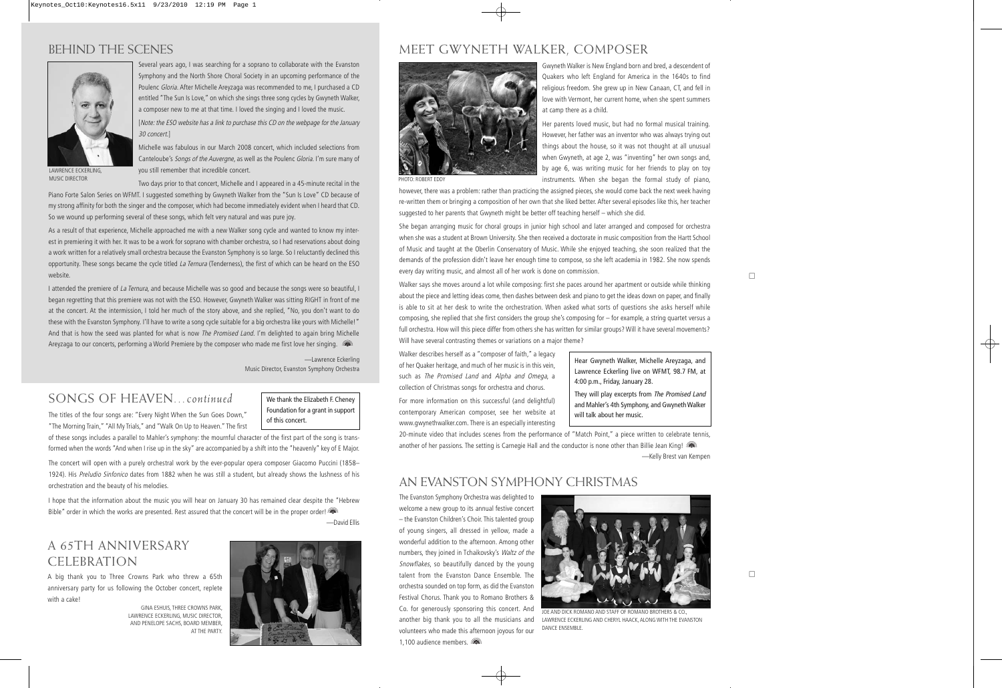## BEHIND THE SCENES



Several years ago, I was searching for a soprano to collaborate with the Evanston Symphony and the North Shore Choral Society in an upcoming performance of the Poulenc Gloria. After Michelle Areyzaga was recommended to me, I purchased a CD entitled "The Sun Is Love," on which she sings three song cycles by Gwyneth Walker, a composer new to me at that time. I loved the singing and I loved the music.

[Note: the ESO website has a link to purchase this CD on the webpage for the January 30 concert.]

Michelle was fabulous in our March 2008 concert, which included selections from Canteloube's Songs of the Auvergne, as well as the Poulenc Gloria. I'm sure many of you still remember that incredible concert.

LAWRENCE ECKERLING, MUSIC DIRECTOR

Two days prior to that concert, Michelle and I appeared in a 45-minute recital in the Piano Forte Salon Series on WFMT. I suggested something by Gwyneth Walker from the "Sun Is Love" CD because of my strong affinity for both the singer and the composer, which had become immediately evident when I heard that CD. So we wound up performing several of these songs, which felt very natural and was pure joy.

As a result of that experience, Michelle approached me with a new Walker song cycle and wanted to know my interest in premiering it with her. It was to be a work for soprano with chamber orchestra, so I had reservations about doing a work written for a relatively small orchestra because the Evanston Symphony is so large. So I reluctantly declined this opportunity. These songs became the cycle titled La Ternura (Tenderness), the first of which can be heard on the ESO website.

I attended the premiere of La Ternura, and because Michelle was so good and because the songs were so beautiful, I began regretting that this premiere was not with the ESO. However, Gwyneth Walker was sitting RIGHT in front of me at the concert. At the intermission, I told her much of the story above, and she replied, "No, you don't want to do these with the Evanston Symphony. I'll have to write a song cycle suitable for a big orchestra like yours with Michelle!" And that is how the seed was planted for what is now *The Promised Land*. I'm delighted to again bring Michelle Areyzaga to our concerts, performing a World Premiere by the composer who made me first love her singing. (and

> —Lawrence Eckerling Music Director, Evanston Symphony Orchestra

#### SONGS OF HEAVEN*…continued*

The titles of the four songs are: "Every Night When the Sun Goes Down,"

We thank the Elizabeth F. Cheney Foundation for a grant in support of this concert.

"The Morning Train," "All My Trials," and "Walk On Up to Heaven." The first of these songs includes a parallel to Mahler's symphony: the mournful character of the first part of the song is transformed when the words "And when I rise up in the sky" are accompanied by a shift into the "heavenly" key of E Major.

The concert will open with a purely orchestral work by the ever-popular opera composer Giacomo Puccini (1858– 1924). His Preludio Sinfonico dates from 1882 when he was still a student, but already shows the lushness of his orchestration and the beauty of his melodies.

I hope that the information about the music you will hear on January 30 has remained clear despite the "Hebrew Bible" order in which the works are presented. Rest assured that the concert will be in the proper order! —David Ellis

#### A 65TH ANNIVERSARY CELEBRATION

A big thank you to Three Crowns Park who threw a 65th anniversary party for us following the October concert, replete with a cake!

> GINA ESHUIS, THREE CROWNS PARK, LAWRENCE ECKERLING, MUSIC DIRECTOR, AND PENELOPE SACHS, BOARD MEMBER, AT THE PARTY.



#### MEET GWYNETH WALKER, COMPOSER



Gwyneth Walker is New England born and bred, a descendent of Quakers who left England for America in the 1640s to find religious freedom. She grew up in New Canaan, CT, and fell in love with Vermont, her current home, when she spent summers at camp there as a child.

Her parents loved music, but had no formal musical training. However, her father was an inventor who was always trying out things about the house, so it was not thought at all unusual when Gwyneth, at age 2, was "inventing" her own songs and, by age 6, was writing music for her friends to play on toy instruments. When she began the formal study of piano,

PHOTO: ROBERT EDDY

however, there was a problem: rather than practicing the assigned pieces, she would come back the next week having re-written them or bringing a composition of her own that she liked better. After several episodes like this, her teacher suggested to her parents that Gwyneth might be better off teaching herself – which she did.

She began arranging music for choral groups in junior high school and later arranged and composed for orchestra when she was a student at Brown University. She then received a doctorate in music composition from the Hartt School of Music and taught at the Oberlin Conservatory of Music. While she enjoyed teaching, she soon realized that the demands of the profession didn't leave her enough time to compose, so she left academia in 1982. She now spends every day writing music, and almost all of her work is done on commission.

Walker says she moves around a lot while composing: first she paces around her apartment or outside while thinking about the piece and letting ideas come, then dashes between desk and piano to get the ideas down on paper, and finally is able to sit at her desk to write the orchestration. When asked what sorts of questions she asks herself while composing, she replied that she first considers the group she's composing for – for example, a string quartet versus a full orchestra. How will this piece differ from others she has written for similar groups? Will it have several movements? Will have several contrasting themes or variations on a major theme?

Walker describes herself as a "composer of faith," a legacy of her Quaker heritage, and much of her music is in this vein, such as The Promised Land and Alpha and Omega, a collection of Christmas songs for orchestra and chorus.

For more information on this successful (and delightful) contemporary American composer, see her website at www.gwynethwalker.com. There is an especially interesting

Hear Gwyneth Walker, Michelle Areyzaga, and Lawrence Eckerling live on WFMT, 98.7 FM, at 4:00 p.m., Friday, January 28.

They will play excerpts from The Promised Land and Mahler's 4th Symphony, and Gwyneth Walker will talk about her music.

20-minute video that includes scenes from the performance of "Match Point," a piece written to celebrate tennis, another of her passions. The setting is Carnegie Hall and the conductor is none other than Billie Jean King! —Kelly Brest van Kempen

#### AN EVANSTON SYMPHONY CHRISTMAS

The Evanston Symphony Orchestra was delighted to welcome a new group to its annual festive concert – the Evanston Children's Choir. This talented group of young singers, all dressed in yellow, made a wonderful addition to the afternoon. Among other numbers, they joined in Tchaikovsky's Waltz of the Snowflakes, so beautifully danced by the young talent from the Evanston Dance Ensemble. The orchestra sounded on top form, as did the Evanston Festival Chorus. Thank you to Romano Brothers & Co. for generously sponsoring this concert. And another big thank you to all the musicians and volunteers who made this afternoon joyous for our 1,100 audience members.



JOE AND DICK ROMANO AND STAFF OF ROMANO BROTHERS & CO., LAWRENCE ECKERLING AND CHERYL HAACK, ALONG WITH THE EVANSTON DANCE ENSEMBLE.